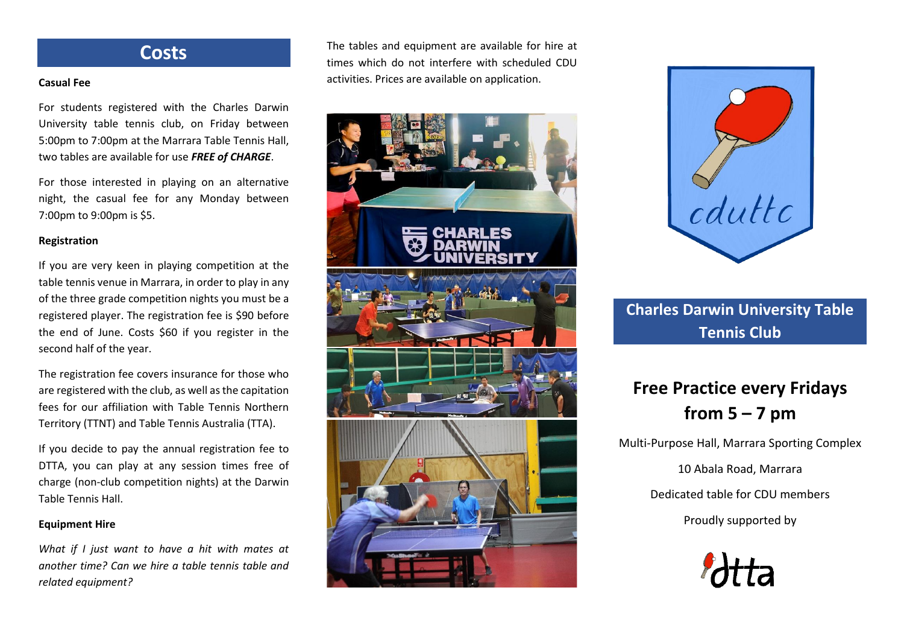### **Costs**

#### **Casual Fee**

For students registered with the Charles Darwin University table tennis club, on Friday between 5:00pm to 7:00pm at the Marrara Table Tennis Hall, two tables are available for use *FREE of CHARGE*.

For those interested in playing on an alternative night, the casual fee for any Monday between 7:00pm to 9:00pm is \$5.

#### **Registration**

If you are very keen in playing competition at the table tennis venue in Marrara, in order to play in any of the three grade competition nights you must be a registered player. The registration fee is \$90 before the end of June. Costs \$60 if you register in the second half of the year.

The registration fee covers insurance for those who are registered with the club, as well as the capitation fees for our affiliation with Table Tennis Northern Territory (TTNT) and Table Tennis Australia (TTA).

If you decide to pay the annual registration fee to DTTA, you can play at any session times free of charge (non-club competition nights) at the Darwin Table Tennis Hall.

#### **Equipment Hire**

*What if I just want to have a hit with mates at another time? Can we hire a table tennis table and related equipment?* 

The tables and equipment are available for hire at times which do not interfere with scheduled CDU activities. Prices are available on application.





## **Charles Darwin University Table Tennis Club**

# **Free Practice every Fridays from 5 – 7 pm**

Multi-Purpose Hall, Marrara Sporting Complex

10 Abala Road, Marrara

Dedicated table for CDU members

Proudly supported by